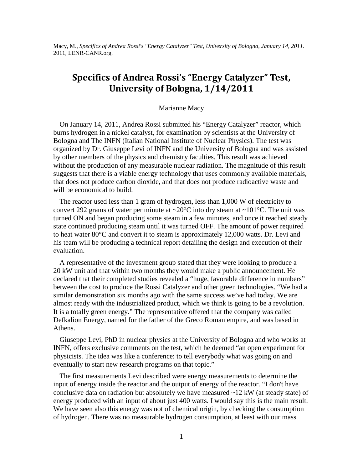Macy, M., *Specifics of Andrea Rossi's "Energy Catalyzer" Test, University of Bologna, January 14, 2011*. 2011, LENR-CANR.org.

## **Specifics of Andrea Rossi's "Energy Catalyzer" Test, University of Bologna, 1/14/2011**

## Marianne Macy

On January 14, 2011, Andrea Rossi submitted his "Energy Catalyzer" reactor, which burns hydrogen in a nickel catalyst, for examination by scientists at the University of Bologna and The INFN (Italian National Institute of Nuclear Physics). The test was organized by Dr. Giuseppe Levi of INFN and the University of Bologna and was assisted by other members of the physics and chemistry faculties. This result was achieved without the production of any measurable nuclear radiation. The magnitude of this result suggests that there is a viable energy technology that uses commonly available materials, that does not produce carbon dioxide, and that does not produce radioactive waste and will be economical to build.

The reactor used less than 1 gram of hydrogen, less than 1,000 W of electricity to convert 292 grams of water per minute at  $\sim$ 20 $\degree$ C into dry steam at  $\sim$ 101 $\degree$ C. The unit was turned ON and began producing some steam in a few minutes, and once it reached steady state continued producing steam until it was turned OFF. The amount of power required to heat water 80°C and convert it to steam is approximately 12,000 watts. Dr. Levi and his team will be producing a technical report detailing the design and execution of their evaluation.

A representative of the investment group stated that they were looking to produce a 20 kW unit and that within two months they would make a public announcement. He declared that their completed studies revealed a "huge, favorable difference in numbers" between the cost to produce the Rossi Catalyzer and other green technologies. "We had a similar demonstration six months ago with the same success we've had today. We are almost ready with the industrialized product, which we think is going to be a revolution. It is a totally green energy." The representative offered that the company was called Defkalion Energy, named for the father of the Greco Roman empire, and was based in Athens.

Giuseppe Levi, PhD in nuclear physics at the University of Bologna and who works at INFN, offers exclusive comments on the test, which he deemed "an open experiment for physicists. The idea was like a conference: to tell everybody what was going on and eventually to start new research programs on that topic."

The first measurements Levi described were energy measurements to determine the input of energy inside the reactor and the output of energy of the reactor. "I don't have conclusive data on radiation but absolutely we have measured  $\sim$ 12 kW (at steady state) of energy produced with an input of about just 400 watts. I would say this is the main result. We have seen also this energy was not of chemical origin, by checking the consumption of hydrogen. There was no measurable hydrogen consumption, at least with our mass